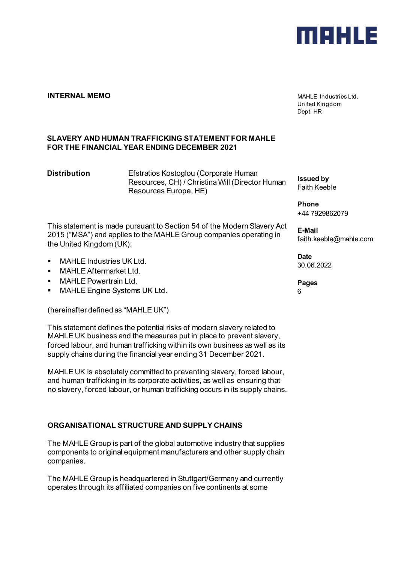

### **INTERNAL MEMO MAHLE Industries Ltd.**

United Kingdom Dept. HR

# **SLAVERY AND HUMAN TRAFFICKING STATEMENT FOR MAHLE FOR THE FINANCIAL YEAR ENDING DECEMBER 2021**

**Distribution** Efstratios Kostoglou (Corporate Human Resources, CH) / Christina Will (Director Human Resources Europe, HE)

This statement is made pursuant to Section 54 of the Modern Slavery Act 2015 ("MSA") and applies to the MAHLE Group companies operating in the United Kingdom (UK):

- **MAHLE Industries UK Ltd.**
- **NAHLE Aftermarket Ltd.**
- MAHLE Powertrain Ltd.
- MAHLE Engine Systems UK Ltd.

(hereinafter defined as "MAHLE UK")

This statement defines the potential risks of modern slavery related to MAHLE UK business and the measures put in place to prevent slavery, forced labour, and human trafficking within its own business as well as its supply chains during the financial year ending 31 December 2021.

MAHLE UK is absolutely committed to preventing slavery, forced labour, and human trafficking in its corporate activities, as well as ensuring that no slavery, forced labour, or human trafficking occurs in its supply chains.

# **ORGANISATIONAL STRUCTURE AND SUPPLY CHAINS**

The MAHLE Group is part of the global automotive industry that supplies components to original equipment manufacturers and other supply chain companies.

The MAHLE Group is headquartered in Stuttgart/Germany and currently operates through its affiliated companies on five continents at some

**Issued by** Faith Keeble

**Phone** +44 7929862079

**E-Mail** faith.keeble@mahle.com

**Date** 30.06.2022

**Pages** 6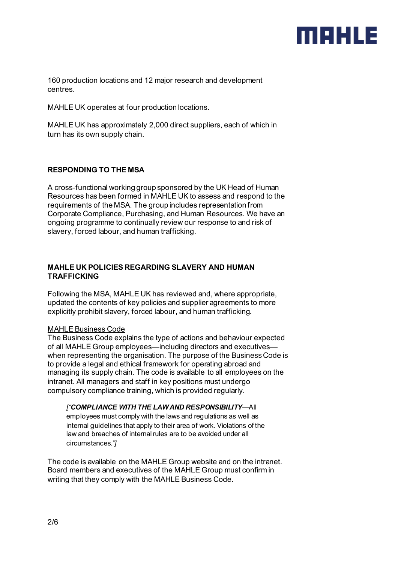# MBHLE

160 production locations and 12 major research and development centres.

MAHLE UK operates at four production locations.

MAHLE UK has approximately 2,000 direct suppliers, each of which in turn has its own supply chain.

# **RESPONDING TO THE MSA**

A cross-functional working group sponsored by the UK Head of Human Resources has been formed in MAHLE UK to assess and respond to the requirements of the MSA. The group includes representation from Corporate Compliance, Purchasing, and Human Resources. We have an ongoing programme to continually review our response to and risk of slavery, forced labour, and human trafficking.

# **MAHLE UK POLICIES REGARDING SLAVERY AND HUMAN TRAFFICKING**

Following the MSA, MAHLE UK has reviewed and, where appropriate, updated the contents of key policies and supplier agreements to more explicitly prohibit slavery, forced labour, and human trafficking.

# MAHLE Business Code

The Business Code explains the type of actions and behaviour expected of all MAHLE Group employees—including directors and executives when representing the organisation. The purpose of the Business Code is to provide a legal and ethical framework for operating abroad and managing its supply chain. The code is available to all employees on the intranet. All managers and staff in key positions must undergo compulsory compliance training, which is provided regularly.

#### *["COMPLIANCE WITH THE LAW AND RESPONSIBILITY*—All

employees must comply with the laws and regulations as well as internal guidelines that apply to their area of work. Violations of the law and breaches of internal rules are to be avoided under all circumstances*."]*

The code is available on the MAHLE Group website and on the intranet. Board members and executives of the MAHLE Group must confirm in writing that they comply with the MAHLE Business Code.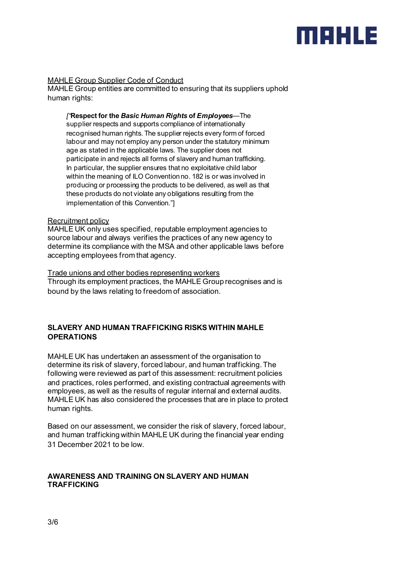# MEHLE

# MAHLE Group Supplier Code of Conduct

MAHLE Group entities are committed to ensuring that its suppliers uphold human rights:

*["***Respect for the** *Basic Human Rights* **of** *Employees*—The supplier respects and supports compliance of internationally recognised human rights. The supplier rejects every form of forced labour and may not employ any person under the statutory minimum age as stated in the applicable laws. The supplier does not participate in and rejects all forms of slavery and human trafficking. In particular, the supplier ensures that no exploitative child labor within the meaning of ILO Convention no. 182 is or was involved in producing or processing the products to be delivered, as well as that these products do not violate any obligations resulting from the implementation of this Convention."]

#### Recruitment policy

MAHLE UK only uses specified, reputable employment agencies to source labour and always verifies the practices of any new agency to determine its compliance with the MSA and other applicable laws before accepting employees from that agency.

#### Trade unions and other bodies representing workers

Through its employment practices, the MAHLE Group recognises and is bound by the laws relating to freedom of association.

# **SLAVERY AND HUMAN TRAFFICKING RISKS WITHIN MAHLE OPERATIONS**

MAHLE UK has undertaken an assessment of the organisation to determine its risk of slavery, forced labour, and human trafficking. The following were reviewed as part of this assessment: recruitment policies and practices, roles performed, and existing contractual agreements with employees, as well as the results of regular internal and external audits. MAHLE UK has also considered the processes that are in place to protect human rights.

Based on our assessment, we consider the risk of slavery, forced labour, and human trafficking within MAHLE UK during the financial year ending 31 December 2021 to be low.

#### **AWARENESS AND TRAINING ON SLAVERY AND HUMAN TRAFFICKING**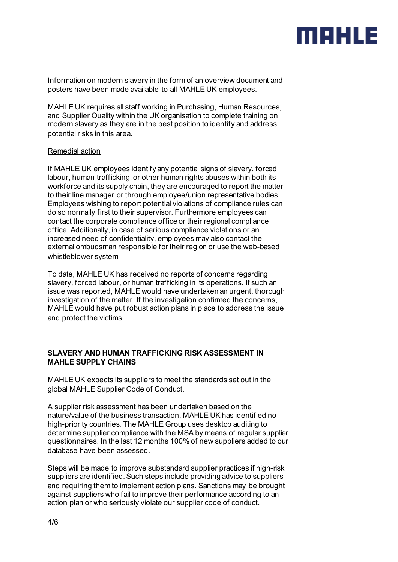# merue

Information on modern slavery in the form of an overview document and posters have been made available to all MAHLE UK employees.

MAHLE UK requires all staff working in Purchasing, Human Resources, and Supplier Quality within the UK organisation to complete training on modern slavery as they are in the best position to identify and address potential risks in this area.

#### Remedial action

If MAHLE UK employees identify any potential signs of slavery, forced labour, human trafficking, or other human rights abuses within both its workforce and its supply chain, they are encouraged to report the matter to their line manager or through employee/union representative bodies. Employees wishing to report potential violations of compliance rules can do so normally first to their supervisor. Furthermore employees can contact the corporate compliance office or their regional compliance office. Additionally, in case of serious compliance violations or an increased need of confidentiality, employees may also contact the external ombudsman responsible for their region or use the web-based whistleblower system

To date, MAHLE UK has received no reports of concerns regarding slavery, forced labour, or human trafficking in its operations. If such an issue was reported, MAHLE would have undertaken an urgent, thorough investigation of the matter. If the investigation confirmed the concerns, MAHLE would have put robust action plans in place to address the issue and protect the victims.

# **SLAVERY AND HUMAN TRAFFICKING RISK ASSESSMENT IN MAHLE SUPPLY CHAINS**

MAHLE UK expects its suppliers to meet the standards set out in the global MAHLE Supplier Code of Conduct.

A supplier risk assessment has been undertaken based on the nature/value of the business transaction. MAHLE UK has identified no high-priority countries. The MAHLE Group uses desktop auditing to determine supplier compliance with the MSA by means of regular supplier questionnaires. In the last 12 months 100% of new suppliers added to our database have been assessed.

Steps will be made to improve substandard supplier practices if high-risk suppliers are identified. Such steps include providing advice to suppliers and requiring them to implement action plans. Sanctions may be brought against suppliers who fail to improve their performance according to an action plan or who seriously violate our supplier code of conduct.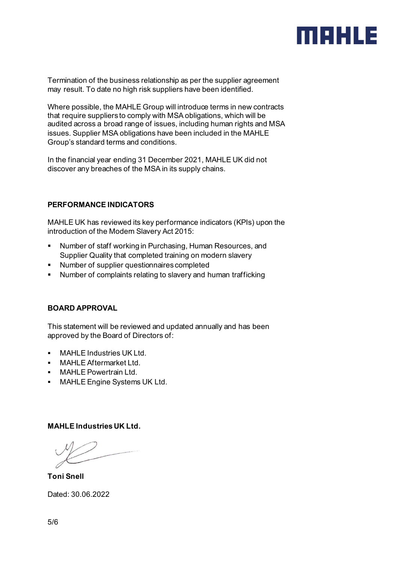

Termination of the business relationship as per the supplier agreement may result. To date no high risk suppliers have been identified.

Where possible, the MAHLE Group will introduce terms in new contracts that require suppliers to comply with MSA obligations, which will be audited across a broad range of issues, including human rights and MSA issues. Supplier MSA obligations have been included in the MAHLE Group's standard terms and conditions.

In the financial year ending 31 December 2021, MAHLE UK did not discover any breaches of the MSA in its supply chains.

# **PERFORMANCE INDICATORS**

MAHLE UK has reviewed its key performance indicators (KPIs) upon the introduction of the Modern Slavery Act 2015:

- Number of staff working in Purchasing, Human Resources, and Supplier Quality that completed training on modern slavery
- Number of supplier questionnaires completed
- Number of complaints relating to slavery and human trafficking

# **BOARD APPROVAL**

This statement will be reviewed and updated annually and has been approved by the Board of Directors of:

- **NAHLE Industries UK Ltd.**
- **MAHLE Aftermarket Ltd.**
- **NAHLE Powertrain Ltd.**
- **MAHLE Engine Systems UK Ltd.**

#### **MAHLE Industries UK Ltd.**

**Toni Snell**

Dated: 30.06.2022